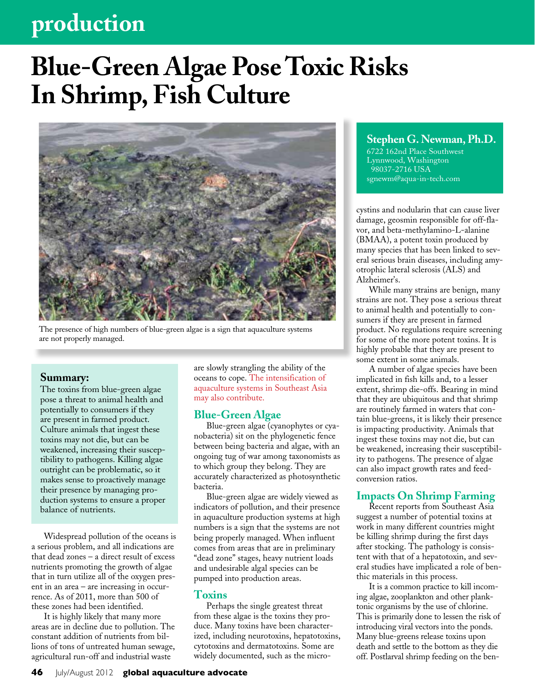## **production**

# **Blue-Green Algae Pose Toxic Risks In Shrimp, Fish Culture**



The presence of high numbers of blue-green algae is a sign that aquaculture systems are not properly managed.

#### **Summary:**

The toxins from blue-green algae pose a threat to animal health and potentially to consumers if they are present in farmed product. Culture animals that ingest these toxins may not die, but can be weakened, increasing their susceptibility to pathogens. Killing algae outright can be problematic, so it makes sense to proactively manage their presence by managing production systems to ensure a proper balance of nutrients.

Widespread pollution of the oceans is a serious problem, and all indications are that dead zones – a direct result of excess nutrients promoting the growth of algae that in turn utilize all of the oxygen present in an area – are increasing in occurrence. As of 2011, more than 500 of these zones had been identified.

It is highly likely that many more areas are in decline due to pollution. The constant addition of nutrients from billions of tons of untreated human sewage, agricultural run-off and industrial waste

are slowly strangling the ability of the oceans to cope. The intensification of aquaculture systems in Southeast Asia may also contribute.

#### **Blue-Green Algae**

Blue-green algae (cyanophytes or cyanobacteria) sit on the phylogenetic fence between being bacteria and algae, with an ongoing tug of war among taxonomists as to which group they belong. They are accurately characterized as photosynthetic bacteria.

Blue-green algae are widely viewed as indicators of pollution, and their presence in aquaculture production systems at high numbers is a sign that the systems are not being properly managed. When influent comes from areas that are in preliminary "dead zone" stages, heavy nutrient loads and undesirable algal species can be pumped into production areas.

#### **Toxins**

Perhaps the single greatest threat from these algae is the toxins they produce. Many toxins have been characterized, including neurotoxins, hepatotoxins, cytotoxins and dermatotoxins. Some are widely documented, such as the micro-

#### **Stephen G. Newman, Ph.D.**

6722 162nd Place Southwest Lynnwood, Washington 98037-2716 USA sgnewm@aqua-in-tech.com

cystins and nodularin that can cause liver damage, geosmin responsible for off-flavor, and beta-methylamino-L-alanine (BMAA), a potent toxin produced by many species that has been linked to several serious brain diseases, including amyotrophic lateral sclerosis (ALS) and Alzheimer's.

While many strains are benign, many strains are not. They pose a serious threat to animal health and potentially to consumers if they are present in farmed product. No regulations require screening for some of the more potent toxins. It is highly probable that they are present to some extent in some animals.

A number of algae species have been implicated in fish kills and, to a lesser extent, shrimp die-offs. Bearing in mind that they are ubiquitous and that shrimp are routinely farmed in waters that contain blue-greens, it is likely their presence is impacting productivity. Animals that ingest these toxins may not die, but can be weakened, increasing their susceptibility to pathogens. The presence of algae can also impact growth rates and feedconversion ratios.

#### **Impacts On Shrimp Farming**

Recent reports from Southeast Asia suggest a number of potential toxins at work in many different countries might be killing shrimp during the first days after stocking. The pathology is consistent with that of a hepatotoxin, and several studies have implicated a role of benthic materials in this process.

It is a common practice to kill incoming algae, zooplankton and other planktonic organisms by the use of chlorine. This is primarily done to lessen the risk of introducing viral vectors into the ponds. Many blue-greens release toxins upon death and settle to the bottom as they die off. Postlarval shrimp feeding on the ben-